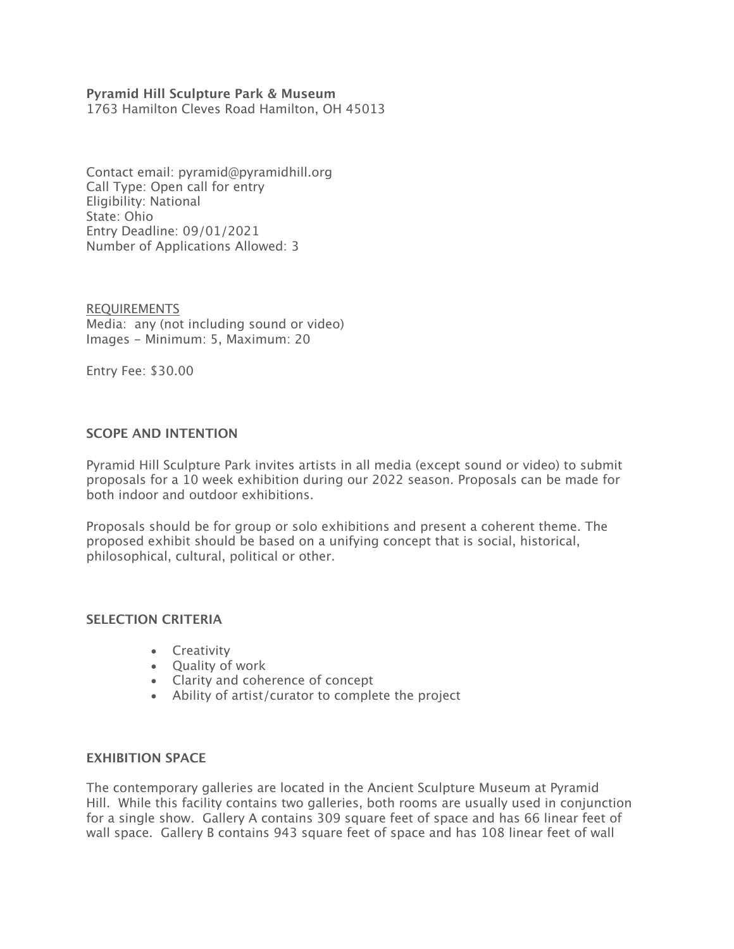## **Pyramid Hill Sculpture Park & Museum**

1763 Hamilton Cleves Road Hamilton, OH 45013

Contact email: pyramid@pyramidhill.org Call Type: Open call for entry Eligibility: National State: Ohio Entry Deadline: 09/01/2021 Number of Applications Allowed: 3

REQUIREMENTS Media: any (not including sound or video) Images - Minimum: 5, Maximum: 20

Entry Fee: \$30.00

## **SCOPE AND INTENTION**

Pyramid Hill Sculpture Park invites artists in all media (except sound or video) to submit proposals for a 10 week exhibition during our 2022 season. Proposals can be made for both indoor and outdoor exhibitions.

Proposals should be for group or solo exhibitions and present a coherent theme. The proposed exhibit should be based on a unifying concept that is social, historical, philosophical, cultural, political or other.

### **SELECTION CRITERIA**

- Creativity
- Quality of work
- Clarity and coherence of concept
- Ability of artist/curator to complete the project

### **EXHIBITION SPACE**

The contemporary galleries are located in the Ancient Sculpture Museum at Pyramid Hill. While this facility contains two galleries, both rooms are usually used in conjunction for a single show. Gallery A contains 309 square feet of space and has 66 linear feet of wall space. Gallery B contains 943 square feet of space and has 108 linear feet of wall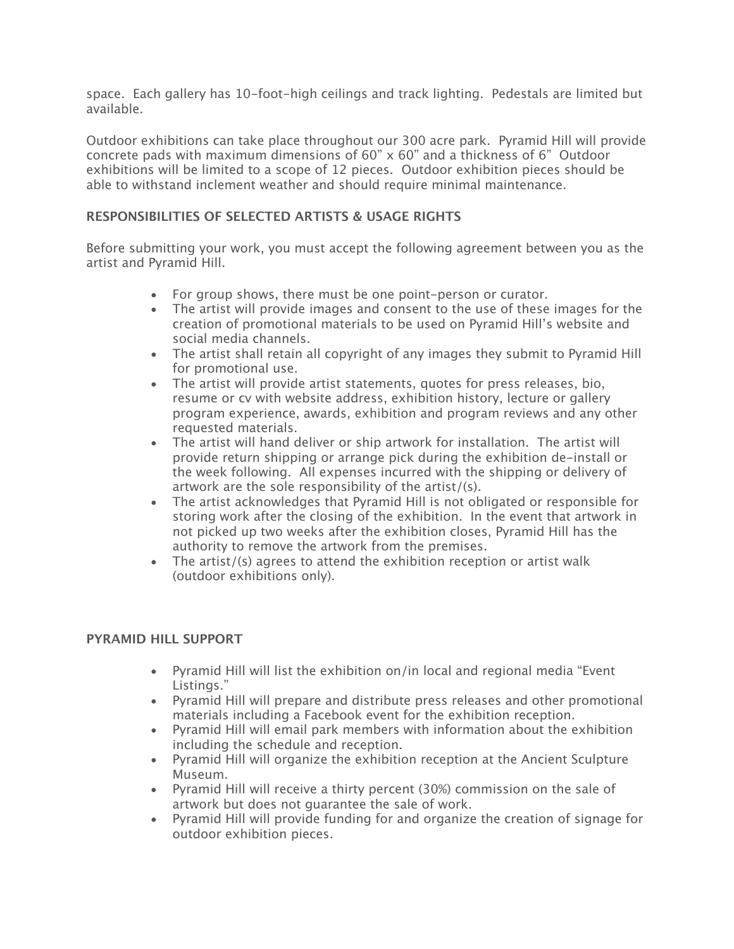space. Each gallery has 10-foot-high ceilings and track lighting. Pedestals are limited but available.

Outdoor exhibitions can take place throughout our 300 acre park. Pyramid Hill will provide concrete pads with maximum dimensions of 60" x 60" and a thickness of 6" Outdoor exhibitions will be limited to a scope of 12 pieces. Outdoor exhibition pieces should be able to withstand inclement weather and should require minimal maintenance.

## **RESPONSIBILITIES OF SELECTED ARTISTS & USAGE RIGHTS**

Before submitting your work, you must accept the following agreement between you as the artist and Pyramid Hill.

- For group shows, there must be one point-person or curator.
- The artist will provide images and consent to the use of these images for the creation of promotional materials to be used on Pyramid Hill's website and social media channels.
- The artist shall retain all copyright of any images they submit to Pyramid Hill for promotional use.
- The artist will provide artist statements, quotes for press releases, bio, resume or cv with website address, exhibition history, lecture or gallery program experience, awards, exhibition and program reviews and any other requested materials.
- The artist will hand deliver or ship artwork for installation. The artist will provide return shipping or arrange pick during the exhibition de-install or the week following. All expenses incurred with the shipping or delivery of artwork are the sole responsibility of the artist/(s).
- The artist acknowledges that Pyramid Hill is not obligated or responsible for storing work after the closing of the exhibition. In the event that artwork in not picked up two weeks after the exhibition closes, Pyramid Hill has the authority to remove the artwork from the premises.
- The artist/(s) agrees to attend the exhibition reception or artist walk (outdoor exhibitions only).

## **PYRAMID HILL SUPPORT**

- Pyramid Hill will list the exhibition on/in local and regional media "Event Listings."
- Pyramid Hill will prepare and distribute press releases and other promotional materials including a Facebook event for the exhibition reception.
- Pyramid Hill will email park members with information about the exhibition including the schedule and reception.
- Pyramid Hill will organize the exhibition reception at the Ancient Sculpture Museum.
- Pyramid Hill will receive a thirty percent (30%) commission on the sale of artwork but does not guarantee the sale of work.
- Pyramid Hill will provide funding for and organize the creation of signage for outdoor exhibition pieces.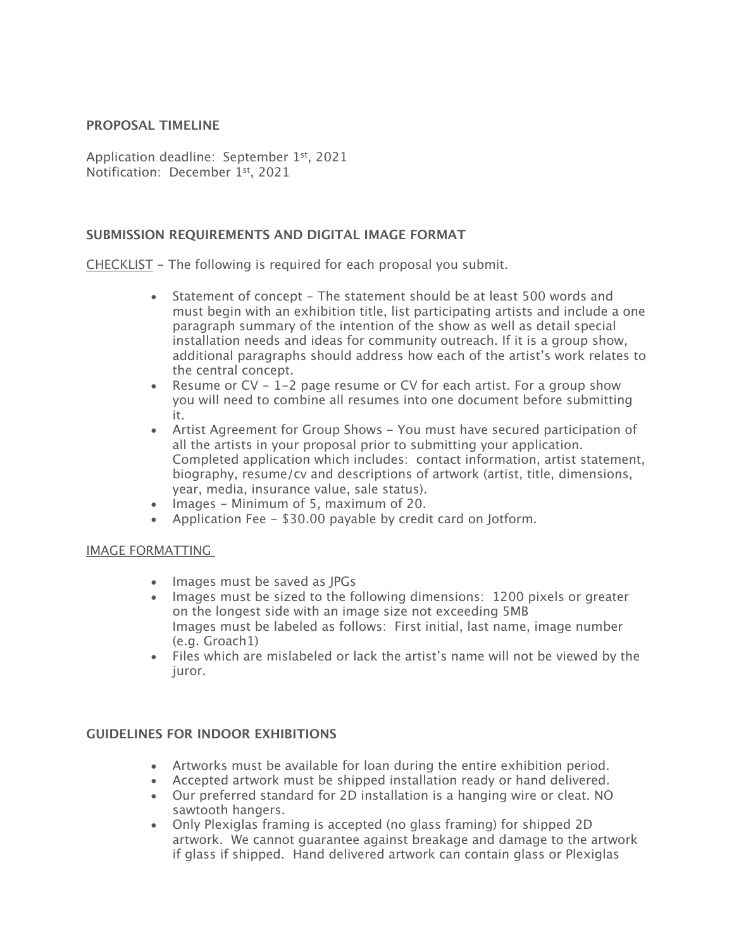## **PROPOSAL TIMELINE**

Application deadline: September 1<sup>st</sup>, 2021 Notification: December 1st, 2021

### **SUBMISSION REQUIREMENTS AND DIGITAL IMAGE FORMAT**

CHECKLIST - The following is required for each proposal you submit.

- Statement of concept The statement should be at least 500 words and must begin with an exhibition title, list participating artists and include a one paragraph summary of the intention of the show as well as detail special installation needs and ideas for community outreach. If it is a group show, additional paragraphs should address how each of the artist's work relates to the central concept.
- Resume or  $CV 1-2$  page resume or CV for each artist. For a group show you will need to combine all resumes into one document before submitting it.
- Artist Agreement for Group Shows You must have secured participation of all the artists in your proposal prior to submitting your application. Completed application which includes: contact information, artist statement, biography, resume/cv and descriptions of artwork (artist, title, dimensions, year, media, insurance value, sale status).
- Images Minimum of 5, maximum of 20.
- Application Fee \$30.00 payable by credit card on Jotform.

### IMAGE FORMATTING

- Images must be saved as JPGs
- Images must be sized to the following dimensions: 1200 pixels or greater on the longest side with an image size not exceeding 5MB Images must be labeled as follows: First initial, last name, image number (e.g. Groach1)
- Files which are mislabeled or lack the artist's name will not be viewed by the juror.

## **GUIDELINES FOR INDOOR EXHIBITIONS**

- Artworks must be available for loan during the entire exhibition period.
- Accepted artwork must be shipped installation ready or hand delivered.
- Our preferred standard for 2D installation is a hanging wire or cleat. NO sawtooth hangers.
- Only Plexiglas framing is accepted (no glass framing) for shipped 2D artwork. We cannot guarantee against breakage and damage to the artwork if glass if shipped. Hand delivered artwork can contain glass or Plexiglas